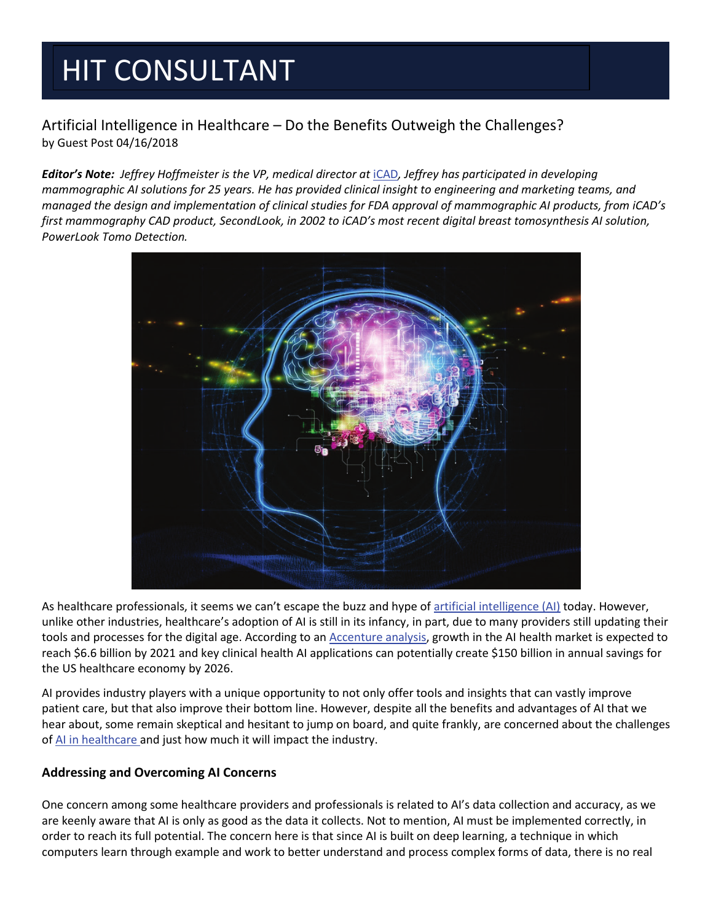# HIT CONSULTANT

### Artificial Intelligence in Healthcare – Do the Benefits Outweigh the Challenges? by Guest Post 04/16/2018

*Editor's Note: Jeffrey Hoffmeister is the VP, medical director at* iCAD*, Jeffrey has participated in developing mammographic AI solutions for 25 years. He has provided clinical insight to engineering and marketing teams, and managed the design and implementation of clinical studies for FDA approval of mammographic AI products, from iCAD's first mammography CAD product, SecondLook, in 2002 to iCAD's most recent digital breast tomosynthesis AI solution, PowerLook Tomo Detection.*



As healthcare professionals, it seems we can't escape the buzz and hype of artificial intelligence (AI) today. However, unlike other industries, healthcare's adoption of AI is still in its infancy, in part, due to many providers still updating their tools and processes for the digital age. According to an Accenture analysis, growth in the AI health market is expected to reach \$6.6 billion by 2021 and key clinical health AI applications can potentially create \$150 billion in annual savings for the US healthcare economy by 2026.

AI provides industry players with a unique opportunity to not only offer tools and insights that can vastly improve patient care, but that also improve their bottom line. However, despite all the benefits and advantages of AI that we hear about, some remain skeptical and hesitant to jump on board, and quite frankly, are concerned about the challenges of AI in healthcare and just how much it will impact the industry.

### **Addressing and Overcoming AI Concerns**

One concern among some healthcare providers and professionals is related to AI's data collection and accuracy, as we are keenly aware that AI is only as good as the data it collects. Not to mention, AI must be implemented correctly, in order to reach its full potential. The concern here is that since AI is built on deep learning, a technique in which computers learn through example and work to better understand and process complex forms of data, there is no real